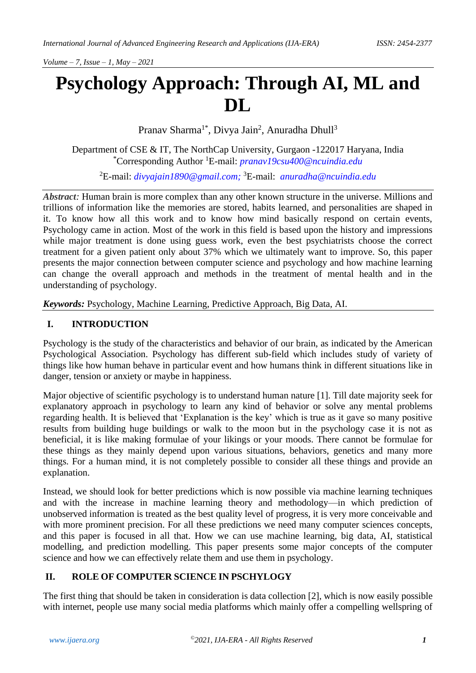# **Psychology Approach: Through AI, ML and DL**

Pranav Sharma<sup>1\*</sup>, Divya Jain<sup>2</sup>, Anuradha Dhull<sup>3</sup>

Department of CSE & IT, The NorthCap University, Gurgaon -122017 Haryana, India \*Corresponding Author <sup>1</sup>E-mail: *[pranav19csu400@ncuindia.edu](mailto:pranav19csu400@ncuindia.edu)*

<sup>2</sup>E-mail: *[divyajain1890@gmail.com;](mailto:divyajain1890@gmail.com)* <sup>3</sup>E-mail: *[anuradha@ncuindia.edu](mailto:pranav19csu400@ncuindia.edu)*

*Abstract:* Human brain is more complex than any other known structure in the universe. Millions and trillions of information like the memories are stored, habits learned, and personalities are shaped in it. To know how all this work and to know how mind basically respond on certain events, Psychology came in action. Most of the work in this field is based upon the history and impressions while major treatment is done using guess work, even the best psychiatrists choose the correct treatment for a given patient only about 37% which we ultimately want to improve. So, this paper presents the major connection between computer science and psychology and how machine learning can change the overall approach and methods in the treatment of mental health and in the understanding of psychology.

*Keywords:* Psychology, Machine Learning, Predictive Approach, Big Data, AI.

## **I. INTRODUCTION**

Psychology is the study of the characteristics and behavior of our brain, as indicated by the American Psychological Association. Psychology has different sub-field which includes study of variety of things like how human behave in particular event and how humans think in different situations like in danger, tension or anxiety or maybe in happiness.

Major objective of scientific psychology is to understand human nature [1]. Till date majority seek for explanatory approach in psychology to learn any kind of behavior or solve any mental problems regarding health. It is believed that 'Explanation is the key' which is true as it gave so many positive results from building huge buildings or walk to the moon but in the psychology case it is not as beneficial, it is like making formulae of your likings or your moods. There cannot be formulae for these things as they mainly depend upon various situations, behaviors, genetics and many more things. For a human mind, it is not completely possible to consider all these things and provide an explanation.

Instead, we should look for better predictions which is now possible via machine learning techniques and with the increase in machine learning theory and methodology—in which prediction of unobserved information is treated as the best quality level of progress, it is very more conceivable and with more prominent precision. For all these predictions we need many computer sciences concepts, and this paper is focused in all that. How we can use machine learning, big data, AI, statistical modelling, and prediction modelling. This paper presents some major concepts of the computer science and how we can effectively relate them and use them in psychology.

## **II. ROLE OF COMPUTER SCIENCE IN PSCHYLOGY**

The first thing that should be taken in consideration is data collection [2], which is now easily possible with internet, people use many social media platforms which mainly offer a compelling wellspring of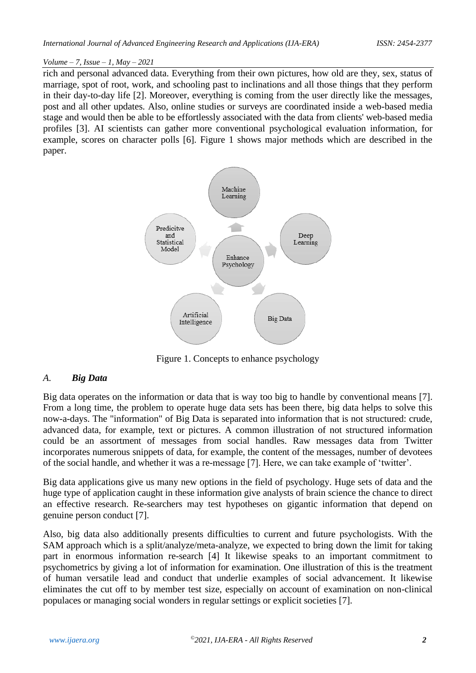rich and personal advanced data. Everything from their own pictures, how old are they, sex, status of marriage, spot of root, work, and schooling past to inclinations and all those things that they perform in their day-to-day life [2]. Moreover, everything is coming from the user directly like the messages, post and all other updates. Also, online studies or surveys are coordinated inside a web-based media stage and would then be able to be effortlessly associated with the data from clients' web-based media profiles [3]. AI scientists can gather more conventional psychological evaluation information, for example, scores on character polls [6]. Figure 1 shows major methods which are described in the paper.



Figure 1. Concepts to enhance psychology

## *A. Big Data*

Big data operates on the information or data that is way too big to handle by conventional means [7]. From a long time, the problem to operate huge data sets has been there, big data helps to solve this now-a-days. The "information" of Big Data is separated into information that is not structured: crude, advanced data, for example, text or pictures. A common illustration of not structured information could be an assortment of messages from social handles. Raw messages data from Twitter incorporates numerous snippets of data, for example, the content of the messages, number of devotees of the social handle, and whether it was a re-message [7]. Here, we can take example of 'twitter'.

Big data applications give us many new options in the field of psychology. Huge sets of data and the huge type of application caught in these information give analysts of brain science the chance to direct an effective research. Re-searchers may test hypotheses on gigantic information that depend on genuine person conduct [7].

Also, big data also additionally presents difficulties to current and future psychologists. With the SAM approach which is a split/analyze/meta-analyze, we expected to bring down the limit for taking part in enormous information re-search [4] It likewise speaks to an important commitment to psychometrics by giving a lot of information for examination. One illustration of this is the treatment of human versatile lead and conduct that underlie examples of social advancement. It likewise eliminates the cut off to by member test size, especially on account of examination on non-clinical populaces or managing social wonders in regular settings or explicit societies [7].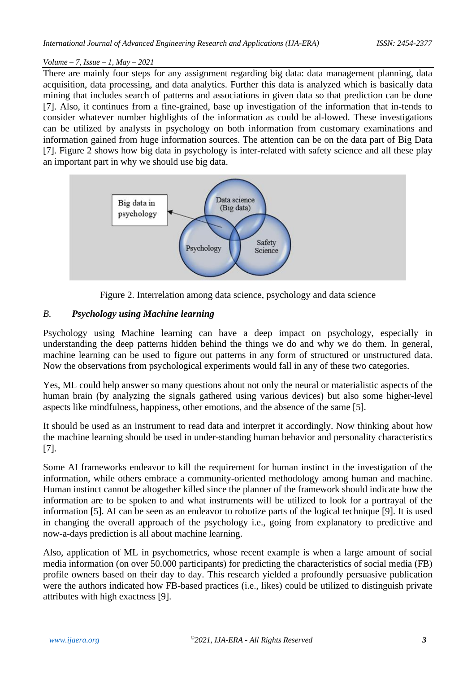There are mainly four steps for any assignment regarding big data: data management planning, data acquisition, data processing, and data analytics. Further this data is analyzed which is basically data mining that includes search of patterns and associations in given data so that prediction can be done [7]. Also, it continues from a fine-grained, base up investigation of the information that in-tends to consider whatever number highlights of the information as could be al-lowed. These investigations can be utilized by analysts in psychology on both information from customary examinations and information gained from huge information sources. The attention can be on the data part of Big Data [7]. Figure 2 shows how big data in psychology is inter-related with safety science and all these play an important part in why we should use big data.





## *B. Psychology using Machine learning*

Psychology using Machine learning can have a deep impact on psychology, especially in understanding the deep patterns hidden behind the things we do and why we do them. In general, machine learning can be used to figure out patterns in any form of structured or unstructured data. Now the observations from psychological experiments would fall in any of these two categories.

Yes, ML could help answer so many questions about not only the neural or materialistic aspects of the human brain (by analyzing the signals gathered using various devices) but also some higher-level aspects like mindfulness, happiness, other emotions, and the absence of the same [5].

It should be used as an instrument to read data and interpret it accordingly. Now thinking about how the machine learning should be used in under-standing human behavior and personality characteristics [7].

Some AI frameworks endeavor to kill the requirement for human instinct in the investigation of the information, while others embrace a community-oriented methodology among human and machine. Human instinct cannot be altogether killed since the planner of the framework should indicate how the information are to be spoken to and what instruments will be utilized to look for a portrayal of the information [5]. AI can be seen as an endeavor to robotize parts of the logical technique [9]. It is used in changing the overall approach of the psychology i.e., going from explanatory to predictive and now-a-days prediction is all about machine learning.

Also, application of ML in psychometrics, whose recent example is when a large amount of social media information (on over 50.000 participants) for predicting the characteristics of social media (FB) profile owners based on their day to day. This research yielded a profoundly persuasive publication were the authors indicated how FB-based practices (i.e., likes) could be utilized to distinguish private attributes with high exactness [9].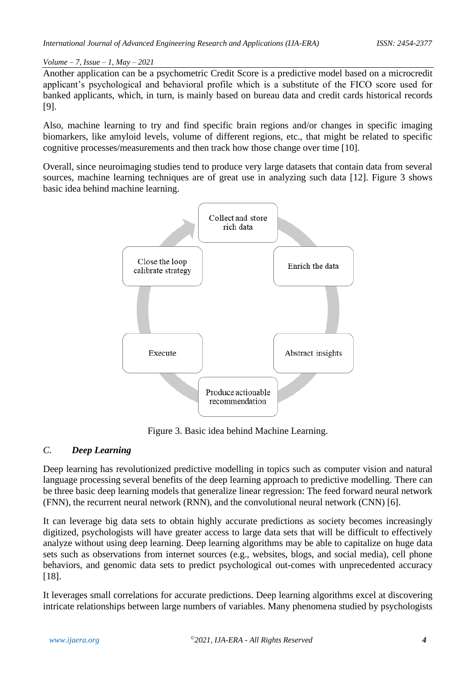Another application can be a psychometric Credit Score is a predictive model based on a microcredit applicant's psychological and behavioral profile which is a substitute of the FICO score used for banked applicants, which, in turn, is mainly based on bureau data and credit cards historical records [9].

Also, machine learning to try and find specific brain regions and/or changes in specific imaging biomarkers, like amyloid levels, volume of different regions, etc., that might be related to specific cognitive processes/measurements and then track how those change over time [10].

Overall, since neuroimaging studies tend to produce very large datasets that contain data from several sources, machine learning techniques are of great use in analyzing such data [12]. Figure 3 shows basic idea behind machine learning.



Figure 3. Basic idea behind Machine Learning.

## *C. Deep Learning*

Deep learning has revolutionized predictive modelling in topics such as computer vision and natural language processing several benefits of the deep learning approach to predictive modelling. There can be three basic deep learning models that generalize linear regression: The feed forward neural network (FNN), the recurrent neural network (RNN), and the convolutional neural network (CNN) [6].

It can leverage big data sets to obtain highly accurate predictions as society becomes increasingly digitized, psychologists will have greater access to large data sets that will be difficult to effectively analyze without using deep learning. Deep learning algorithms may be able to capitalize on huge data sets such as observations from internet sources (e.g., websites, blogs, and social media), cell phone behaviors, and genomic data sets to predict psychological out-comes with unprecedented accuracy [18].

It leverages small correlations for accurate predictions. Deep learning algorithms excel at discovering intricate relationships between large numbers of variables. Many phenomena studied by psychologists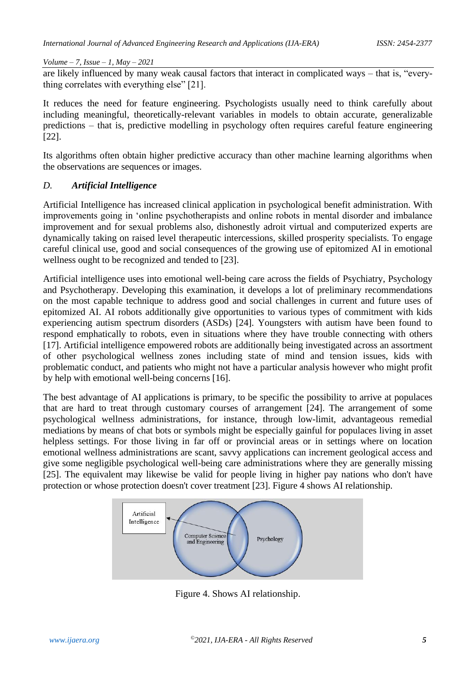are likely influenced by many weak causal factors that interact in complicated ways – that is, "everything correlates with everything else" [21].

It reduces the need for feature engineering. Psychologists usually need to think carefully about including meaningful, theoretically-relevant variables in models to obtain accurate, generalizable predictions – that is, predictive modelling in psychology often requires careful feature engineering [22].

Its algorithms often obtain higher predictive accuracy than other machine learning algorithms when the observations are sequences or images.

## *D. Artificial Intelligence*

Artificial Intelligence has increased clinical application in psychological benefit administration. With improvements going in 'online psychotherapists and online robots in mental disorder and imbalance improvement and for sexual problems also, dishonestly adroit virtual and computerized experts are dynamically taking on raised level therapeutic intercessions, skilled prosperity specialists. To engage careful clinical use, good and social consequences of the growing use of epitomized AI in emotional wellness ought to be recognized and tended to [23].

Artificial intelligence uses into emotional well-being care across the fields of Psychiatry, Psychology and Psychotherapy. Developing this examination, it develops a lot of preliminary recommendations on the most capable technique to address good and social challenges in current and future uses of epitomized AI. AI robots additionally give opportunities to various types of commitment with kids experiencing autism spectrum disorders (ASDs) [24]. Youngsters with autism have been found to respond emphatically to robots, even in situations where they have trouble connecting with others [17]. Artificial intelligence empowered robots are additionally being investigated across an assortment of other psychological wellness zones including state of mind and tension issues, kids with problematic conduct, and patients who might not have a particular analysis however who might profit by help with emotional well-being concerns [16].

The best advantage of AI applications is primary, to be specific the possibility to arrive at populaces that are hard to treat through customary courses of arrangement [24]. The arrangement of some psychological wellness administrations, for instance, through low-limit, advantageous remedial mediations by means of chat bots or symbols might be especially gainful for populaces living in asset helpless settings. For those living in far off or provincial areas or in settings where on location emotional wellness administrations are scant, savvy applications can increment geological access and give some negligible psychological well-being care administrations where they are generally missing [25]. The equivalent may likewise be valid for people living in higher pay nations who don't have protection or whose protection doesn't cover treatment [23]. Figure 4 shows AI relationship.



Figure 4. Shows AI relationship.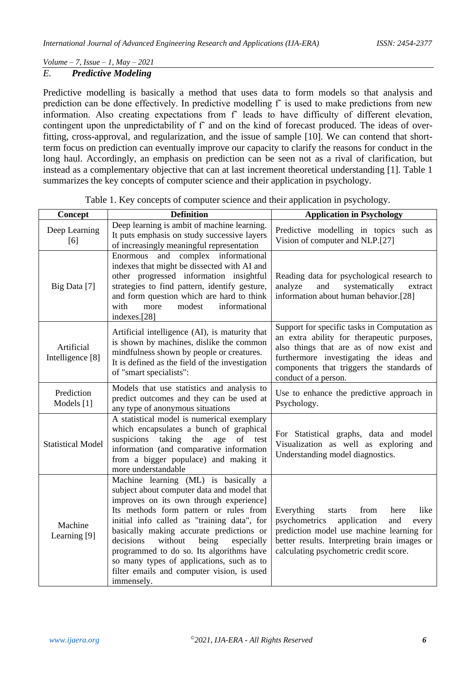# *E. Predictive Modeling*

Predictive modelling is basically a method that uses data to form models so that analysis and prediction can be done effectively. In predictive modelling f^ is used to make predictions from new information. Also creating expectations from fˆ leads to have difficulty of different elevation, contingent upon the unpredictability of f^ and on the kind of forecast produced. The ideas of overfitting, cross-approval, and regularization, and the issue of sample [10]. We can contend that shortterm focus on prediction can eventually improve our capacity to clarify the reasons for conduct in the long haul. Accordingly, an emphasis on prediction can be seen not as a rival of clarification, but instead as a complementary objective that can at last increment theoretical understanding [1]. Table 1 summarizes the key concepts of computer science and their application in psychology.

| Concept                        | <b>Definition</b>                                                                                                                                                                                                                                                                                                                                                                                                                                                      | <b>Application in Psychology</b>                                                                                                                                                                                                                       |
|--------------------------------|------------------------------------------------------------------------------------------------------------------------------------------------------------------------------------------------------------------------------------------------------------------------------------------------------------------------------------------------------------------------------------------------------------------------------------------------------------------------|--------------------------------------------------------------------------------------------------------------------------------------------------------------------------------------------------------------------------------------------------------|
| Deep Learning<br>[6]           | Deep learning is ambit of machine learning.<br>It puts emphasis on study successive layers<br>of increasingly meaningful representation                                                                                                                                                                                                                                                                                                                                | Predictive modelling in topics such as<br>Vision of computer and NLP.[27]                                                                                                                                                                              |
| Big Data [7]                   | and complex informational<br>Enormous<br>indexes that might be dissected with AI and<br>other progressed information insightful<br>strategies to find pattern, identify gesture,<br>and form question which are hard to think<br>informational<br>with<br>modest<br>more<br>indexes.[28]                                                                                                                                                                               | Reading data for psychological research to<br>and<br>systematically<br>analyze<br>extract<br>information about human behavior.[28]                                                                                                                     |
| Artificial<br>Intelligence [8] | Artificial intelligence (AI), is maturity that<br>is shown by machines, dislike the common<br>mindfulness shown by people or creatures.<br>It is defined as the field of the investigation<br>of "smart specialists":                                                                                                                                                                                                                                                  | Support for specific tasks in Computation as<br>an extra ability for therapeutic purposes,<br>also things that are as of now exist and<br>furthermore investigating the ideas and<br>components that triggers the standards of<br>conduct of a person. |
| Prediction<br>Models [1]       | Models that use statistics and analysis to<br>predict outcomes and they can be used at<br>any type of anonymous situations                                                                                                                                                                                                                                                                                                                                             | Use to enhance the predictive approach in<br>Psychology.                                                                                                                                                                                               |
| <b>Statistical Model</b>       | A statistical model is numerical exemplary<br>which encapsulates a bunch of graphical<br>taking<br>the<br>suspicions<br>age<br>of test<br>information (and comparative information<br>from a bigger populace) and making it<br>more understandable                                                                                                                                                                                                                     | For Statistical graphs, data and model<br>Visualization as well as exploring and<br>Understanding model diagnostics.                                                                                                                                   |
| Machine<br>Learning [9]        | Machine learning (ML) is basically a<br>subject about computer data and model that<br>improves on its own through experience]<br>Its methods form pattern or rules from<br>initial info called as "training data", for<br>basically making accurate predictions or<br>without<br>decisions<br>being<br>especially<br>programmed to do so. Its algorithms have<br>so many types of applications, such as to<br>filter emails and computer vision, is used<br>immensely. | Everything<br>from<br>like<br>starts<br>here<br>application<br>psychometrics<br>and<br>every<br>prediction model use machine learning for<br>better results. Interpreting brain images or<br>calculating psychometric credit score.                    |

Table 1. Key concepts of computer science and their application in psychology.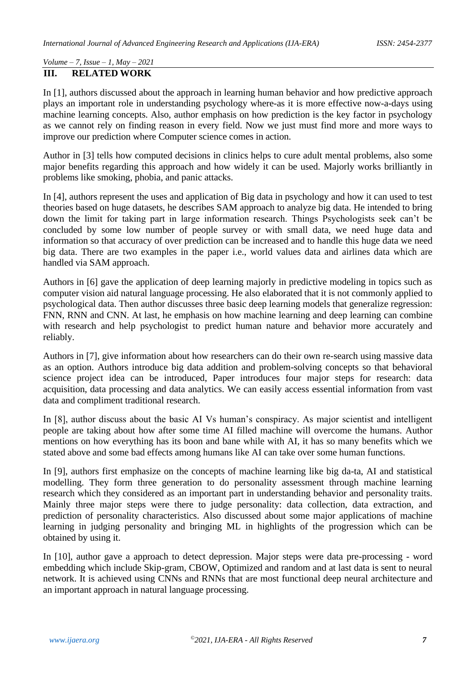# **III. RELATED WORK**

In [1], authors discussed about the approach in learning human behavior and how predictive approach plays an important role in understanding psychology where-as it is more effective now-a-days using machine learning concepts. Also, author emphasis on how prediction is the key factor in psychology as we cannot rely on finding reason in every field. Now we just must find more and more ways to improve our prediction where Computer science comes in action.

Author in [3] tells how computed decisions in clinics helps to cure adult mental problems, also some major benefits regarding this approach and how widely it can be used. Majorly works brilliantly in problems like smoking, phobia, and panic attacks.

In [4], authors represent the uses and application of Big data in psychology and how it can used to test theories based on huge datasets, he describes SAM approach to analyze big data. He intended to bring down the limit for taking part in large information research. Things Psychologists seek can't be concluded by some low number of people survey or with small data, we need huge data and information so that accuracy of over prediction can be increased and to handle this huge data we need big data. There are two examples in the paper i.e., world values data and airlines data which are handled via SAM approach.

Authors in [6] gave the application of deep learning majorly in predictive modeling in topics such as computer vision aid natural language processing. He also elaborated that it is not commonly applied to psychological data. Then author discusses three basic deep learning models that generalize regression: FNN, RNN and CNN. At last, he emphasis on how machine learning and deep learning can combine with research and help psychologist to predict human nature and behavior more accurately and reliably.

Authors in [7], give information about how researchers can do their own re-search using massive data as an option. Authors introduce big data addition and problem-solving concepts so that behavioral science project idea can be introduced, Paper introduces four major steps for research: data acquisition, data processing and data analytics. We can easily access essential information from vast data and compliment traditional research.

In [8], author discuss about the basic AI Vs human's conspiracy. As major scientist and intelligent people are taking about how after some time AI filled machine will overcome the humans. Author mentions on how everything has its boon and bane while with AI, it has so many benefits which we stated above and some bad effects among humans like AI can take over some human functions.

In [9], authors first emphasize on the concepts of machine learning like big da-ta, AI and statistical modelling. They form three generation to do personality assessment through machine learning research which they considered as an important part in understanding behavior and personality traits. Mainly three major steps were there to judge personality: data collection, data extraction, and prediction of personality characteristics. Also discussed about some major applications of machine learning in judging personality and bringing ML in highlights of the progression which can be obtained by using it.

In [10], author gave a approach to detect depression. Major steps were data pre-processing - word embedding which include Skip-gram, CBOW, Optimized and random and at last data is sent to neural network. It is achieved using CNNs and RNNs that are most functional deep neural architecture and an important approach in natural language processing.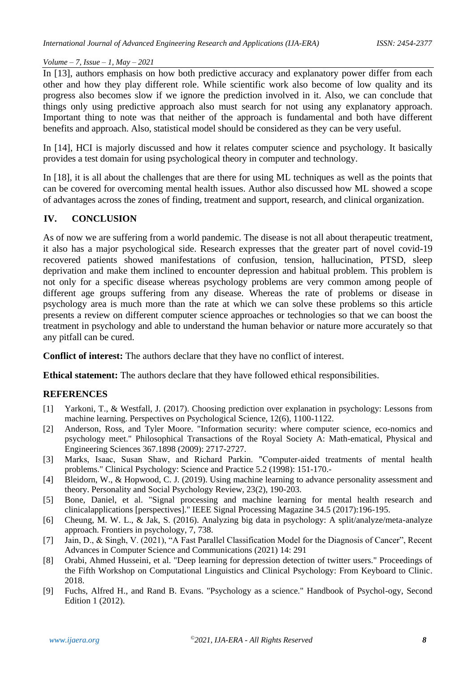In [13], authors emphasis on how both predictive accuracy and explanatory power differ from each other and how they play different role. While scientific work also become of low quality and its progress also becomes slow if we ignore the prediction involved in it. Also, we can conclude that things only using predictive approach also must search for not using any explanatory approach. Important thing to note was that neither of the approach is fundamental and both have different benefits and approach. Also, statistical model should be considered as they can be very useful.

In [14], HCI is majorly discussed and how it relates computer science and psychology. It basically provides a test domain for using psychological theory in computer and technology.

In [18], it is all about the challenges that are there for using ML techniques as well as the points that can be covered for overcoming mental health issues. Author also discussed how ML showed a scope of advantages across the zones of finding, treatment and support, research, and clinical organization.

## **IV. CONCLUSION**

As of now we are suffering from a world pandemic. The disease is not all about therapeutic treatment, it also has a major psychological side. Research expresses that the greater part of novel covid-19 recovered patients showed manifestations of confusion, tension, hallucination, PTSD, sleep deprivation and make them inclined to encounter depression and habitual problem. This problem is not only for a specific disease whereas psychology problems are very common among people of different age groups suffering from any disease. Whereas the rate of problems or disease in psychology area is much more than the rate at which we can solve these problems so this article presents a review on different computer science approaches or technologies so that we can boost the treatment in psychology and able to understand the human behavior or nature more accurately so that any pitfall can be cured.

**Conflict of interest:** The authors declare that they have no conflict of interest.

**Ethical statement:** The authors declare that they have followed ethical responsibilities.

## **REFERENCES**

- [1] Yarkoni, T., & Westfall, J. (2017). Choosing prediction over explanation in psychology: Lessons from machine learning. Perspectives on Psychological Science, 12(6), 1100-1122.
- [2] Anderson, Ross, and Tyler Moore. "Information security: where computer science, eco-nomics and psychology meet." Philosophical Transactions of the Royal Society A: Math-ematical, Physical and Engineering Sciences 367.1898 (2009): 2717-2727.
- [3] Marks, Isaac, Susan Shaw, and Richard Parkin. "Computer-aided treatments of mental health problems." Clinical Psychology: Science and Practice 5.2 (1998): 151-170.-
- [4] Bleidorn, W., & Hopwood, C. J. (2019). Using machine learning to advance personality assessment and theory. Personality and Social Psychology Review, 23(2), 190-203.
- [5] Bone, Daniel, et al. "Signal processing and machine learning for mental health research and clinicalapplications [perspectives]." IEEE Signal Processing Magazine 34.5 (2017):196-195.
- [6] Cheung, M. W. L., & Jak, S. (2016). Analyzing big data in psychology: A split/analyze/meta-analyze approach. Frontiers in psychology, 7, 738.
- [7] Jain, D., & Singh, V. (2021), "A Fast Parallel Classification Model for the Diagnosis of Cancer", Recent Advances in Computer Science and Communications (2021) 14: 291
- [8] Orabi, Ahmed Husseini, et al. "Deep learning for depression detection of twitter users." Proceedings of the Fifth Workshop on Computational Linguistics and Clinical Psychology: From Keyboard to Clinic. 2018.
- [9] Fuchs, Alfred H., and Rand B. Evans. "Psychology as a science." Handbook of Psychol-ogy, Second Edition 1 (2012).